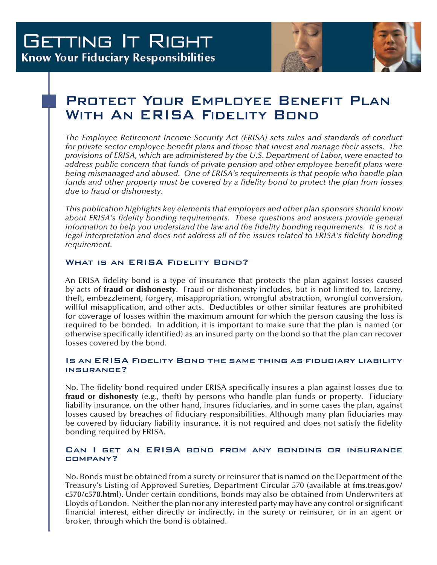

# Protect Your Employee Benefit Plan WITH AN ERISA FIDELITY BOND

*The Employee Retirement Income Security Act (ERISA) sets rules and standards of conduct for private sector employee benefit plans and those that invest and manage their assets. The provisions of ERISA, which are administered by the U.S. Department of Labor, were enacted to address public concern that funds of private pension and other employee benefit plans were being mismanaged and abused. One of ERISA's requirements is that people who handle plan funds and other property must be covered by a fidelity bond to protect the plan from losses due to fraud or dishonesty.* 

*This publication highlights key elements that employers and other plan sponsors should know about ERISA's fidelity bonding requirements. These questions and answers provide general information to help you understand the law and the fidelity bonding requirements. It is not a legal interpretation and does not address all of the issues related to ERISA's fidelity bonding requirement.* 

# WHAT IS AN ERISA FIDELITY BOND?

An ERISA fidelity bond is a type of insurance that protects the plan against losses caused by acts of fraud or dishonesty. Fraud or dishonesty includes, but is not limited to, larceny, theft, embezzlement, forgery, misappropriation, wrongful abstraction, wrongful conversion, willful misapplication, and other acts. Deductibles or other similar features are prohibited for coverage of losses within the maximum amount for which the person causing the loss is required to be bonded. In addition, it is important to make sure that the plan is named (or otherwise specifically identified) as an insured party on the bond so that the plan can recover losses covered by the bond.

# Is an ERISA Fidelity Bond the same thing as fiduciary liability insurance?

No. The fidelity bond required under ERISA specifically insures a plan against losses due to fraud or dishonesty (e.g., theft) by persons who handle plan funds or property. Fiduciary liability insurance, on the other hand, insures fiduciaries, and in some cases the plan, against losses caused by breaches of fiduciary responsibilities. Although many plan fiduciaries may be covered by fiduciary liability insurance, it is not required and does not satisfy the fidelity bonding required by ERISA.

## Can I get an ERISA bond from any bonding or insurance company?

No. Bonds must be obtained from a surety or reinsurer that is named on the Department of the Treasury's Listing of Approved Sureties, Department Circular 570 (available at **fms.treas.gov/ c570/c570.html**). Under certain conditions, bonds may also be obtained from Underwriters at Lloyds of London. Neither the plan nor any interested party may have any control or significant financial interest, either directly or indirectly, in the surety or reinsurer, or in an agent or broker, through which the bond is obtained.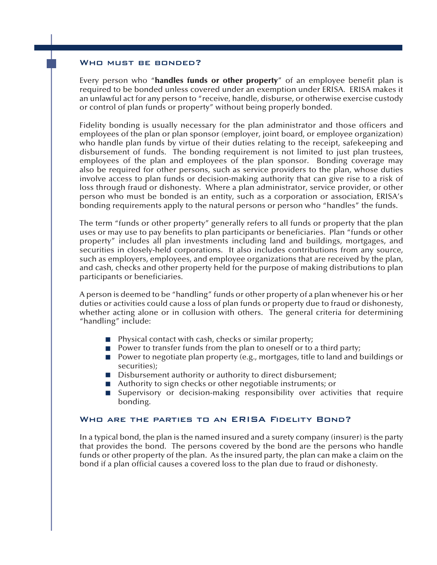#### WHO MUST BE BONDED?

Every person who "handles funds or other property" of an employee benefit plan is required to be bonded unless covered under an exemption under ERISA. ERISA makes it an unlawful act for any person to "receive, handle, disburse, or otherwise exercise custody or control of plan funds or property" without being properly bonded.

Fidelity bonding is usually necessary for the plan administrator and those officers and employees of the plan or plan sponsor (employer, joint board, or employee organization) who handle plan funds by virtue of their duties relating to the receipt, safekeeping and disbursement of funds. The bonding requirement is not limited to just plan trustees, employees of the plan and employees of the plan sponsor. Bonding coverage may also be required for other persons, such as service providers to the plan, whose duties involve access to plan funds or decision-making authority that can give rise to a risk of loss through fraud or dishonesty. Where a plan administrator, service provider, or other person who must be bonded is an entity, such as a corporation or association, ERISA's bonding requirements apply to the natural persons or person who "handles" the funds.

The term "funds or other property" generally refers to all funds or property that the plan uses or may use to pay benefits to plan participants or beneficiaries. Plan "funds or other property" includes all plan investments including land and buildings, mortgages, and securities in closely-held corporations. It also includes contributions from any source, such as employers, employees, and employee organizations that are received by the plan, and cash, checks and other property held for the purpose of making distributions to plan participants or beneficiaries.

A person is deemed to be "handling" funds or other property of a plan whenever his or her duties or activities could cause a loss of plan funds or property due to fraud or dishonesty, whether acting alone or in collusion with others. The general criteria for determining "handling" include:

- Physical contact with cash, checks or similar property;
- Power to transfer funds from the plan to oneself or to a third party;
- Power to negotiate plan property (e.g., mortgages, title to land and buildings or securities);
- Disbursement authority or authority to direct disbursement;
- Authority to sign checks or other negotiable instruments; or
- Supervisory or decision-making responsibility over activities that require bonding. n

## Who are the parties to an ERISA Fidelity Bond?

In a typical bond, the plan is the named insured and a surety company (insurer) is the party that provides the bond. The persons covered by the bond are the persons who handle funds or other property of the plan. As the insured party, the plan can make a claim on the bond if a plan official causes a covered loss to the plan due to fraud or dishonesty.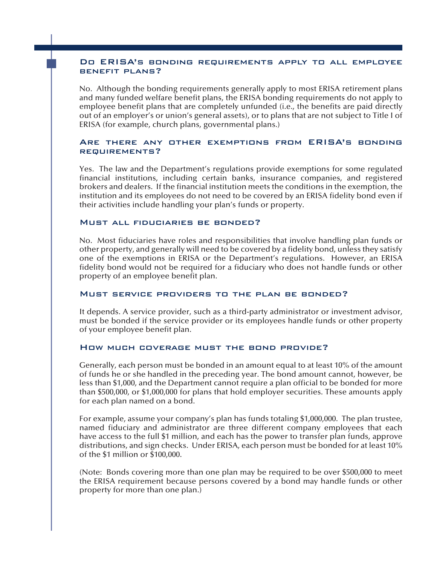#### Do ERISA's bonding requirements apply to all employee benefit plans?

No. Although the bonding requirements generally apply to most ERISA retirement plans and many funded welfare benefit plans, the ERISA bonding requirements do not apply to employee benefit plans that are completely unfunded (i.e., the benefits are paid directly out of an employer's or union's general assets), or to plans that are not subject to Title I of ERISA (for example, church plans, governmental plans.)

# Are there any other exemptions from ERISA's bonding requirements?

Yes. The law and the Department's regulations provide exemptions for some regulated financial institutions, including certain banks, insurance companies, and registered brokers and dealers. If the financial institution meets the conditions in the exemption, the institution and its employees do not need to be covered by an ERISA fidelity bond even if their activities include handling your plan's funds or property.

#### Must all fiduciaries be bonded?

No. Most fiduciaries have roles and responsibilities that involve handling plan funds or other property, and generally will need to be covered by a fidelity bond, unless they satisfy one of the exemptions in ERISA or the Department's regulations. However, an ERISA fidelity bond would not be required for a fiduciary who does not handle funds or other property of an employee benefit plan.

#### Must service providers to the plan be bonded?

It depends. A service provider, such as a third-party administrator or investment advisor, must be bonded if the service provider or its employees handle funds or other property of your employee benefit plan.

#### How much coverage must the bond provide?

Generally, each person must be bonded in an amount equal to at least 10% of the amount of funds he or she handled in the preceding year. The bond amount cannot, however, be less than \$1,000, and the Department cannot require a plan official to be bonded for more than \$500,000, or \$1,000,000 for plans that hold employer securities. These amounts apply for each plan named on a bond.

For example, assume your company's plan has funds totaling \$1,000,000. The plan trustee, named fiduciary and administrator are three different company employees that each have access to the full \$1 million, and each has the power to transfer plan funds, approve distributions, and sign checks. Under ERISA, each person must be bonded for at least 10% of the \$1 million or \$100,000.

(Note: Bonds covering more than one plan may be required to be over \$500,000 to meet the ERISA requirement because persons covered by a bond may handle funds or other property for more than one plan.)